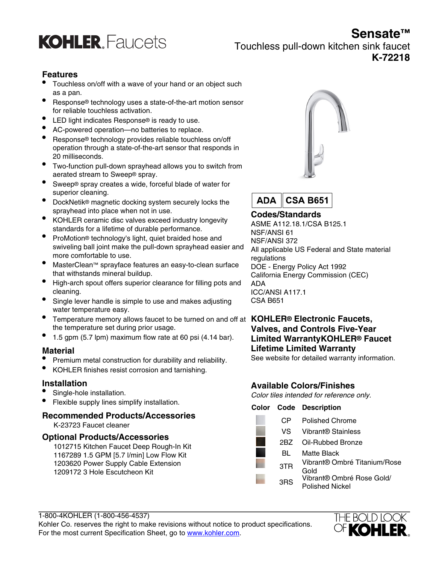## **Sensate™**



Touchless pull-down kitchen sink faucet **K-72218**

#### **Features**

- Touchless on/off with a wave of your hand or an object such as a pan.
- Response® technology uses a state-of-the-art motion sensor for reliable touchless activation.
- LED light indicates Response® is ready to use.
- AC-powered operation—no batteries to replace.
- Response® technology provides reliable touchless on/off operation through a state-of-the-art sensor that responds in 20 milliseconds.
- Two-function pull-down sprayhead allows you to switch from aerated stream to Sweep® spray.
- Sweep® spray creates a wide, forceful blade of water for superior cleaning.
- DockNetik® magnetic docking system securely locks the sprayhead into place when not in use.
- KOHLER ceramic disc valves exceed industry longevity standards for a lifetime of durable performance.
- ProMotion® technology's light, quiet braided hose and swiveling ball joint make the pull-down sprayhead easier and more comfortable to use.
- MasterClean™ sprayface features an easy-to-clean surface that withstands mineral buildup.
- High-arch spout offers superior clearance for filling pots and cleaning.
- Single lever handle is simple to use and makes adjusting water temperature easy.
- Temperature memory allows faucet to be turned on and off at **KOHLER® Electronic Faucets,** the temperature set during prior usage.
- 1.5 gpm (5.7 lpm) maximum flow rate at 60 psi (4.14 bar).

#### **Material**

- Premium metal construction for durability and reliability.
- KOHLER finishes resist corrosion and tarnishing.

#### **Installation**

- Single-hole installation.
- Flexible supply lines simplify installation.

## **Recommended Products/Accessories**

K-23723 Faucet cleaner

#### **Optional Products/Accessories**

1012715 Kitchen Faucet Deep Rough-In Kit 1167289 1.5 GPM [5.7 l/min] Low Flow Kit 1203620 Power Supply Cable Extension 1209172 3 Hole Escutcheon Kit





## **Codes/Standards**

ASME A112.18.1/CSA B125.1 NSF/ANSI 61 NSF/ANSI 372 All applicable US Federal and State material regulations DOE - Energy Policy Act 1992 California Energy Commission (CEC) ADA ICC/ANSI A117.1 CSA B651

# **Valves, and Controls Five-Year Limited WarrantyKOHLER® Faucet Lifetime Limited Warranty**

See website for detailed warranty information.

### **Available Colors/Finishes**

Color tiles intended for reference only.

|      | <b>Color Code Description</b>                |
|------|----------------------------------------------|
| CР   | Polished Chrome                              |
| VS – | Vibrant® Stainless                           |
| 2RZ  | Oil-Rubbed Bronze                            |
| BL   | Matte Black                                  |
| 3TR  | Vibrant® Ombré Titanium/Rose<br>Gold         |
| 3RS  | Vibrant® Ombré Rose Gold/<br>Polished Nickel |